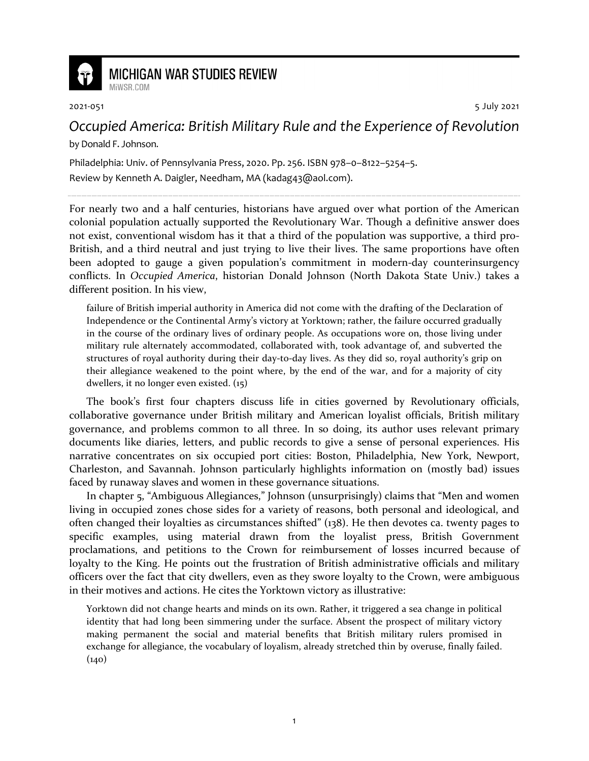

## **MICHIGAN WAR STUDIES REVIEW**

2021-051 5 July 2021

## *Occupied America: British Military Rule and the Experience of Revolution*

by Donald F. Johnson.

MiWSR COM

Philadelphia: Univ. of Pennsylvania Press, 2020. Pp. 256. ISBN 978–0–8122–5254–5. Review by Kenneth A. Daigler, Needham, MA (kadag43@aol.com).

For nearly two and a half centuries, historians have argued over what portion of the American colonial population actually supported the Revolutionary War. Though a definitive answer does not exist, conventional wisdom has it that a third of the population was supportive, a third pro-British, and a third neutral and just trying to live their lives. The same proportions have often been adopted to gauge a given population's commitment in modern-day counterinsurgency conflicts. In *Occupied America*, historian Donald Johnson (North Dakota State Univ.) takes a different position. In his view,

failure of British imperial authority in America did not come with the drafting of the Declaration of Independence or the Continental Army's victory at Yorktown; rather, the failure occurred gradually in the course of the ordinary lives of ordinary people. As occupations wore on, those living under military rule alternately accommodated, collaborated with, took advantage of, and subverted the structures of royal authority during their day-to-day lives. As they did so, royal authority's grip on their allegiance weakened to the point where, by the end of the war, and for a majority of city dwellers, it no longer even existed. (15)

The book's first four chapters discuss life in cities governed by Revolutionary officials, collaborative governance under British military and American loyalist officials, British military governance, and problems common to all three. In so doing, its author uses relevant primary documents like diaries, letters, and public records to give a sense of personal experiences. His narrative concentrates on six occupied port cities: Boston, Philadelphia, New York, Newport, Charleston, and Savannah. Johnson particularly highlights information on (mostly bad) issues faced by runaway slaves and women in these governance situations.

In chapter 5, "Ambiguous Allegiances," Johnson (unsurprisingly) claims that "Men and women living in occupied zones chose sides for a variety of reasons, both personal and ideological, and often changed their loyalties as circumstances shifted" (138). He then devotes ca. twenty pages to specific examples, using material drawn from the loyalist press, British Government proclamations, and petitions to the Crown for reimbursement of losses incurred because of loyalty to the King. He points out the frustration of British administrative officials and military officers over the fact that city dwellers, even as they swore loyalty to the Crown, were ambiguous in their motives and actions. He cites the Yorktown victory as illustrative:

Yorktown did not change hearts and minds on its own. Rather, it triggered a sea change in political identity that had long been simmering under the surface. Absent the prospect of military victory making permanent the social and material benefits that British military rulers promised in exchange for allegiance, the vocabulary of loyalism, already stretched thin by overuse, finally failed.  $(140)$